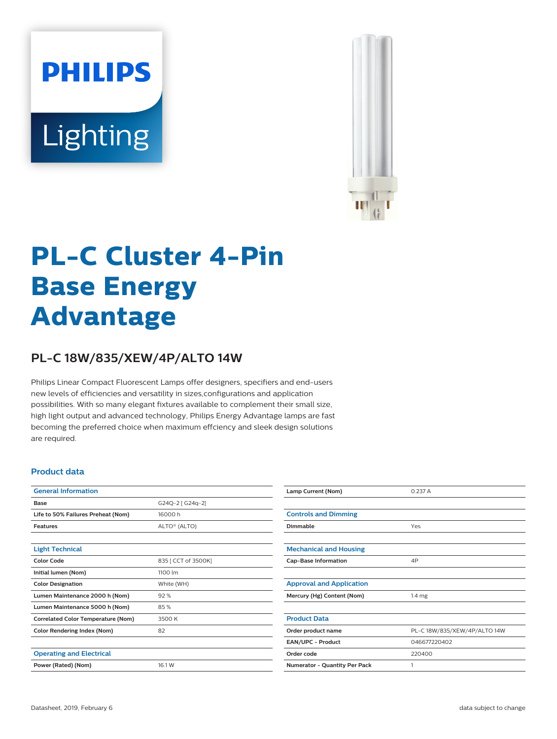# **PHILIPS** Lighting



## **PL-C Cluster 4-Pin Base Energy Advantage**

### **PL-C 18W/835/XEW/4P/ALTO 14W**

Philips Linear Compact Fluorescent Lamps offer designers, specifiers and end-users new levels of efficiencies and versatility in sizes,configurations and application possibilities. With so many elegant fixtures available to complement their small size, high light output and advanced technology, Philips Energy Advantage lamps are fast becoming the preferred choice when maximum effciency and sleek design solutions are required.

#### **Product data**

| <b>General Information</b>                |                          |  |  |  |
|-------------------------------------------|--------------------------|--|--|--|
| Base                                      | G24Q-2 [ G24q-2]         |  |  |  |
| Life to 50% Failures Preheat (Nom)        | 16000 h                  |  |  |  |
| <b>Features</b>                           | ALTO <sup>®</sup> (ALTO) |  |  |  |
|                                           |                          |  |  |  |
| <b>Light Technical</b>                    |                          |  |  |  |
| <b>Color Code</b>                         | 835 [ CCT of 3500K]      |  |  |  |
| Initial lumen (Nom)                       | 1100 lm                  |  |  |  |
| <b>Color Designation</b>                  | White (WH)               |  |  |  |
| Lumen Maintenance 2000 h (Nom)            | 92%                      |  |  |  |
| Lumen Maintenance 5000 h (Nom)            | 85%                      |  |  |  |
| <b>Correlated Color Temperature (Nom)</b> | 3500 K                   |  |  |  |
| <b>Color Rendering Index (Nom)</b>        | 82                       |  |  |  |
|                                           |                          |  |  |  |
| <b>Operating and Electrical</b>           |                          |  |  |  |
| Power (Rated) (Nom)                       | 16.1 W                   |  |  |  |

| Lamp Current (Nom)              | 0.237 A                      |  |  |  |
|---------------------------------|------------------------------|--|--|--|
|                                 |                              |  |  |  |
| <b>Controls and Dimming</b>     |                              |  |  |  |
| Dimmable                        | Yes                          |  |  |  |
|                                 |                              |  |  |  |
| <b>Mechanical and Housing</b>   |                              |  |  |  |
| <b>Cap-Base Information</b>     | 4P                           |  |  |  |
|                                 |                              |  |  |  |
| <b>Approval and Application</b> |                              |  |  |  |
| Mercury (Hg) Content (Nom)      | 1.4 <sub>mg</sub>            |  |  |  |
|                                 |                              |  |  |  |
| <b>Product Data</b>             |                              |  |  |  |
| Order product name              | PL-C 18W/835/XEW/4P/ALTO 14W |  |  |  |
| EAN/UPC - Product               | 046677220402                 |  |  |  |
| Order code                      | 220400                       |  |  |  |
| Numerator - Quantity Per Pack   | 1                            |  |  |  |
|                                 |                              |  |  |  |